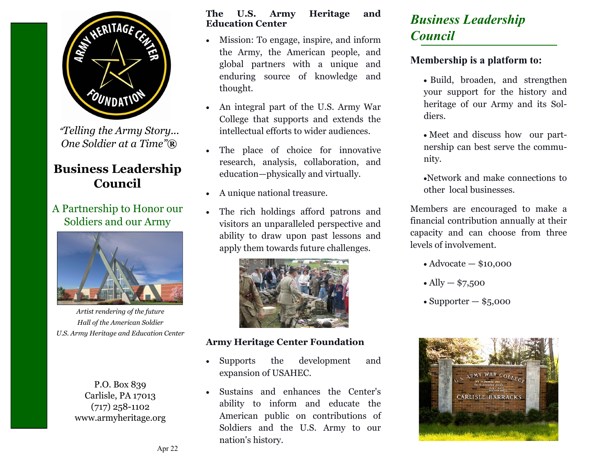

*"Telling the Army Story... One Soldier at a Time"***®**

## **Business Leadership Council**

## A Partnership to Honor our Soldiers and our Army



*Artist rendering of the future Hall of the American Soldier U.S. Army Heritage and Education Center*

P.O. Box 839 Carlisle, PA 17013 (717) 258-1102 www.armyheritage.org

#### **The U.S. Army Heritage and Education Center**

- Mission: To engage, inspire, and inform the Army, the American people, and global partners with a unique and enduring source of knowledge and thought.
- An integral part of the U.S. Army War College that supports and extends the intellectual efforts to wider audiences.
- The place of choice for innovative research, analysis, collaboration, and education—physically and virtually.
- A unique national treasure.
- The rich holdings afford patrons and visitors an unparalleled perspective and ability to draw upon past lessons and apply them towards future challenges.



#### **Army Heritage Center Foundation**

- Supports the development and expansion of USAHEC.
- Sustains and enhances the Center's ability to inform and educate the American public on contributions of Soldiers and the U.S. Army to our nation's history.

## *Business Leadership Council*

### **Membership is a platform to:**

- Build, broaden, and strengthen your support for the history and heritage of our Army and its Soldiers.
- Meet and discuss how our partnership can best serve the community.
- •Network and make connections to other local businesses.

Members are encouraged to make a financial contribution annually at their capacity and can choose from three levels of involvement.

- Advocate \$10,000
- Ally  $-$  \$7,500
- Supporter  $-$  \$5,000